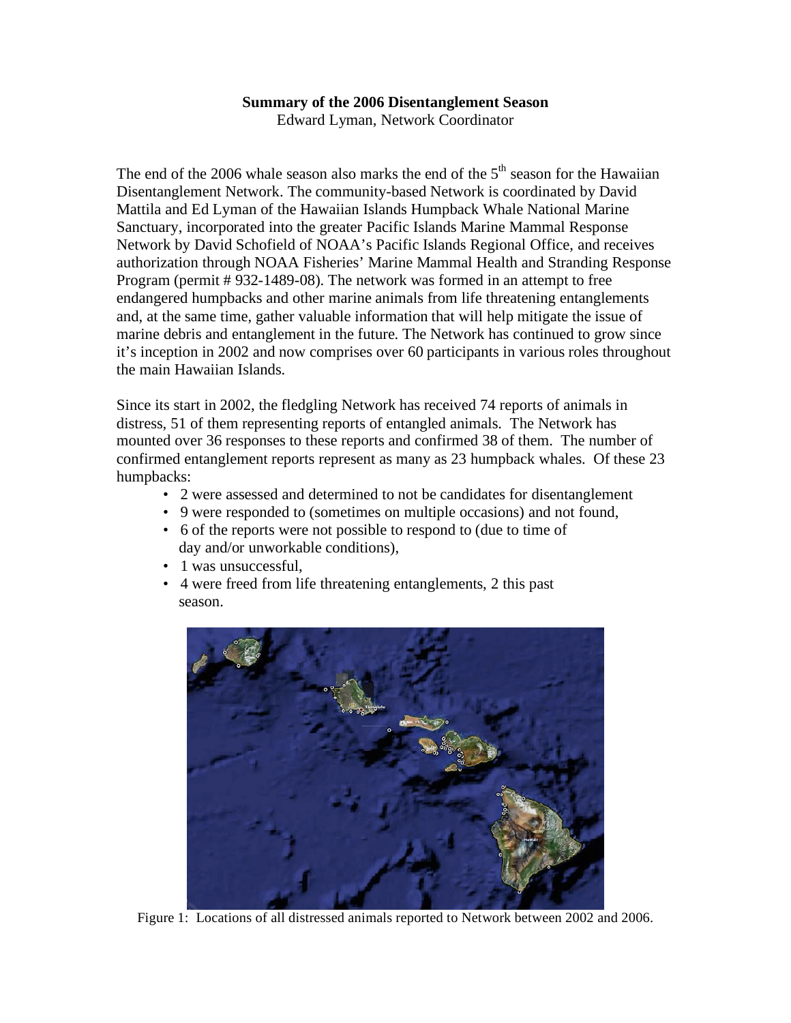## **Summary of the 2006 Disentanglement Season**

Edward Lyman, Network Coordinator

The end of the 2006 whale season also marks the end of the  $5<sup>th</sup>$  season for the Hawaiian Disentanglement Network. The community-based Network is coordinated by David Mattila and Ed Lyman of the Hawaiian Islands Humpback Whale National Marine Sanctuary, incorporated into the greater Pacific Islands Marine Mammal Response Network by David Schofield of NOAA's Pacific Islands Regional Office, and receives authorization through NOAA Fisheries' Marine Mammal Health and Stranding Response Program (permit # 932-1489-08). The network was formed in an attempt to free endangered humpbacks and other marine animals from life threatening entanglements and, at the same time, gather valuable information that will help mitigate the issue of marine debris and entanglement in the future. The Network has continued to grow since it's inception in 2002 and now comprises over 60 participants in various roles throughout the main Hawaiian Islands.

 Since its start in 2002, the fledgling Network has received 74 reports of animals in distress, 51 of them representing reports of entangled animals. The Network has mounted over 36 responses to these reports and confirmed 38 of them. The number of confirmed entanglement reports represent as many as 23 humpback whales. Of these 23 humpbacks:

- 2 were assessed and determined to not be candidates for disentanglement
- 9 were responded to (sometimes on multiple occasions) and not found,
- • 6 of the reports were not possible to respond to (due to time of day and/or unworkable conditions),
- 1 was unsuccessful,
- • 4 were freed from life threatening entanglements, 2 this past season.



Figure 1: Locations of all distressed animals reported to Network between 2002 and 2006.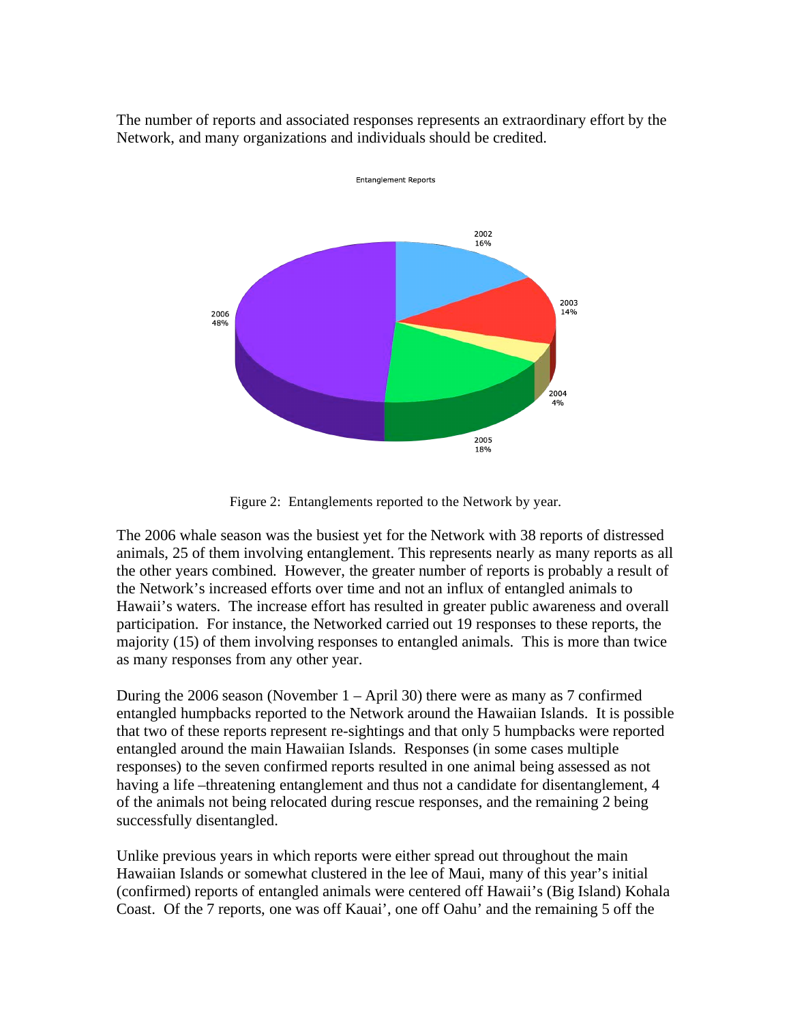The number of reports and associated responses represents an extraordinary effort by the Network, and many organizations and individuals should be credited.



Figure 2: Entanglements reported to the Network by year.

 The 2006 whale season was the busiest yet for the Network with 38 reports of distressed animals, 25 of them involving entanglement. This represents nearly as many reports as all the other years combined. However, the greater number of reports is probably a result of the Network's increased efforts over time and not an influx of entangled animals to Hawaii's waters. The increase effort has resulted in greater public awareness and overall participation. For instance, the Networked carried out 19 responses to these reports, the majority (15) of them involving responses to entangled animals. This is more than twice as many responses from any other year.

 During the 2006 season (November 1 – April 30) there were as many as 7 confirmed entangled humpbacks reported to the Network around the Hawaiian Islands. It is possible that two of these reports represent re-sightings and that only 5 humpbacks were reported entangled around the main Hawaiian Islands. Responses (in some cases multiple responses) to the seven confirmed reports resulted in one animal being assessed as not having a life –threatening entanglement and thus not a candidate for disentanglement, 4 of the animals not being relocated during rescue responses, and the remaining 2 being successfully disentangled.

successfully disentangled.<br>Unlike previous years in which reports were either spread out throughout the main Hawaiian Islands or somewhat clustered in the lee of Maui, many of this year's initial (confirmed) reports of entangled animals were centered off Hawaii's (Big Island) Kohala Coast. Of the 7 reports, one was off Kauai', one off Oahu' and the remaining 5 off the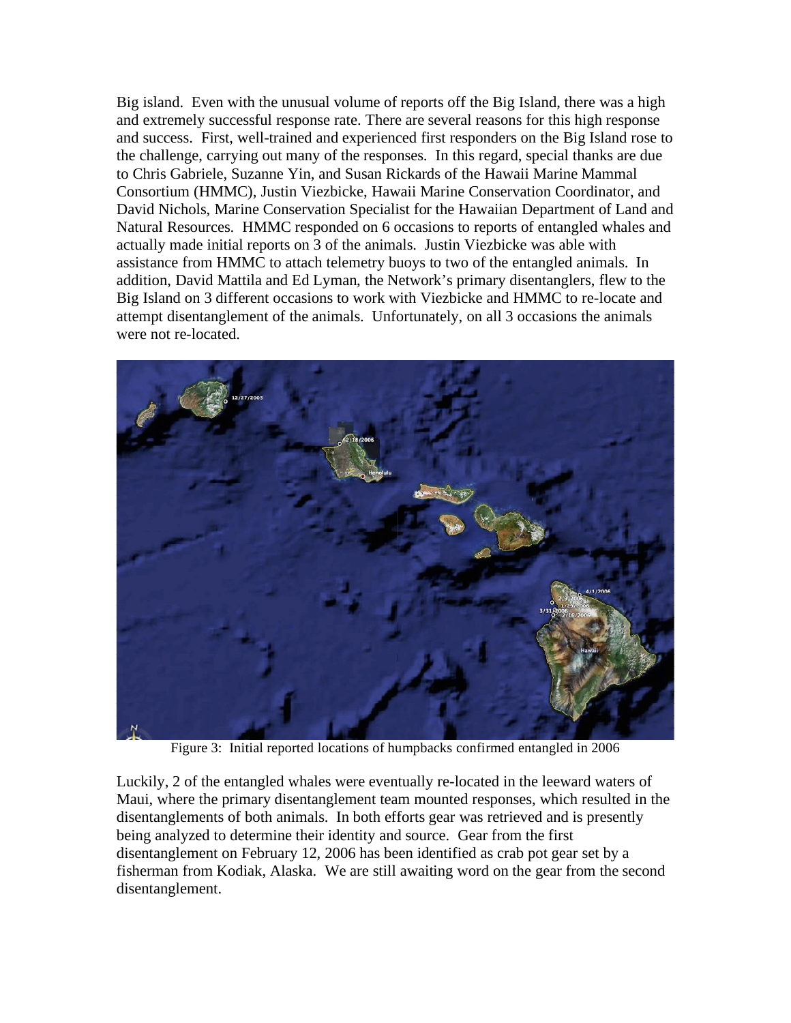Big island. Even with the unusual volume of reports off the Big Island, there was a high and extremely successful response rate. There are several reasons for this high response and success. First, well-trained and experienced first responders on the Big Island rose to the challenge, carrying out many of the responses. In this regard, special thanks are due to Chris Gabriele, Suzanne Yin, and Susan Rickards of the Hawaii Marine Mammal Consortium (HMMC), Justin Viezbicke, Hawaii Marine Conservation Coordinator, and David Nichols, Marine Conservation Specialist for the Hawaiian Department of Land and Natural Resources. HMMC responded on 6 occasions to reports of entangled whales and actually made initial reports on 3 of the animals. Justin Viezbicke was able with assistance from HMMC to attach telemetry buoys to two of the entangled animals. In addition, David Mattila and Ed Lyman, the Network's primary disentanglers, flew to the Big Island on 3 different occasions to work with Viezbicke and HMMC to re-locate and attempt disentanglement of the animals. Unfortunately, on all 3 occasions the animals were not re-located.



Figure 3: Initial reported locations of humpbacks confirmed entangled in 2006

 Luckily, 2 of the entangled whales were eventually re-located in the leeward waters of Maui, where the primary disentanglement team mounted responses, which resulted in the disentanglements of both animals. In both efforts gear was retrieved and is presently being analyzed to determine their identity and source. Gear from the first disentanglement on February 12, 2006 has been identified as crab pot gear set by a fisherman from Kodiak, Alaska. We are still awaiting word on the gear from the second disentanglement.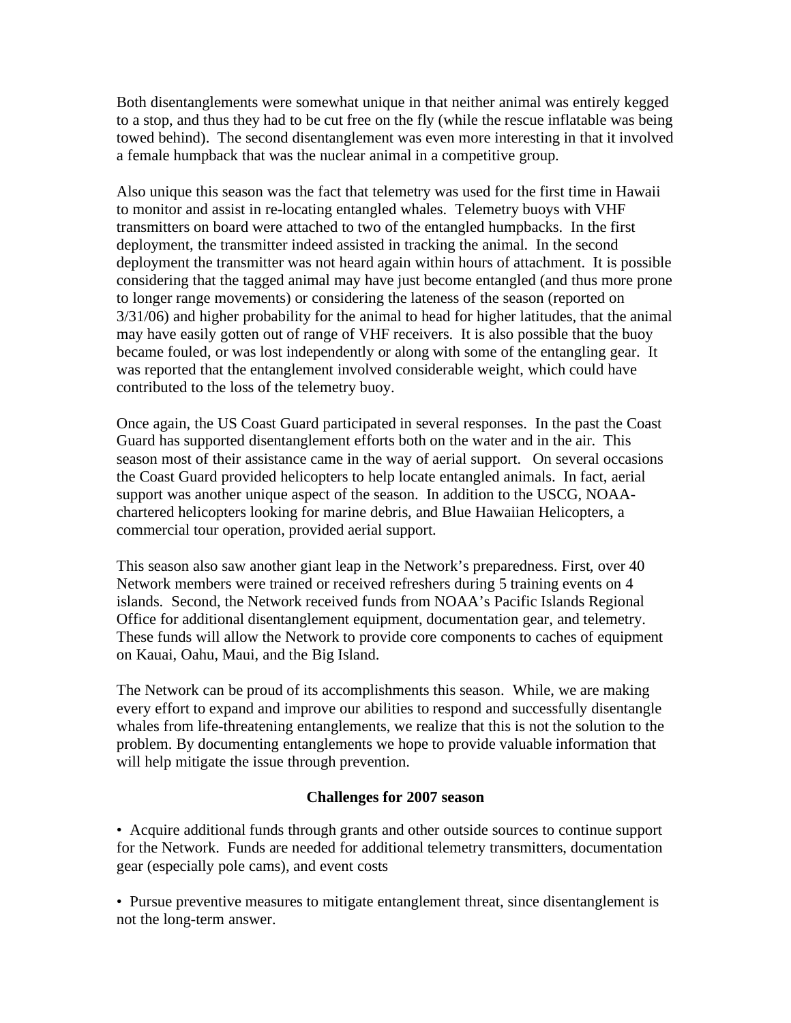Both disentanglements were somewhat unique in that neither animal was entirely kegged to a stop, and thus they had to be cut free on the fly (while the rescue inflatable was being towed behind). The second disentanglement was even more interesting in that it involved a female humpback that was the nuclear animal in a competitive group.

 Also unique this season was the fact that telemetry was used for the first time in Hawaii to monitor and assist in re-locating entangled whales. Telemetry buoys with VHF transmitters on board were attached to two of the entangled humpbacks. In the first deployment, the transmitter indeed assisted in tracking the animal. In the second deployment the transmitter was not heard again within hours of attachment. It is possible considering that the tagged animal may have just become entangled (and thus more prone to longer range movements) or considering the lateness of the season (reported on 3/31/06) and higher probability for the animal to head for higher latitudes, that the animal may have easily gotten out of range of VHF receivers. It is also possible that the buoy became fouled, or was lost independently or along with some of the entangling gear. It was reported that the entanglement involved considerable weight, which could have contributed to the loss of the telemetry buoy.

 Once again, the US Coast Guard participated in several responses. In the past the Coast Guard has supported disentanglement efforts both on the water and in the air. This season most of their assistance came in the way of aerial support. On several occasions the Coast Guard provided helicopters to help locate entangled animals. In fact, aerial support was another unique aspect of the season. In addition to the USCG, NOAA- chartered helicopters looking for marine debris, and Blue Hawaiian Helicopters, a commercial tour operation, provided aerial support.

 This season also saw another giant leap in the Network's preparedness. First, over 40 Network members were trained or received refreshers during 5 training events on 4 islands. Second, the Network received funds from NOAA's Pacific Islands Regional Office for additional disentanglement equipment, documentation gear, and telemetry. These funds will allow the Network to provide core components to caches of equipment on Kauai, Oahu, Maui, and the Big Island.

 The Network can be proud of its accomplishments this season. While, we are making every effort to expand and improve our abilities to respond and successfully disentangle whales from life-threatening entanglements, we realize that this is not the solution to the problem. By documenting entanglements we hope to provide valuable information that will help mitigate the issue through prevention.

## **Challenges for 2007 season**

 • Acquire additional funds through grants and other outside sources to continue support for the Network. Funds are needed for additional telemetry transmitters, documentation gear (especially pole cams), and event costs

 • Pursue preventive measures to mitigate entanglement threat, since disentanglement is not the long-term answer.